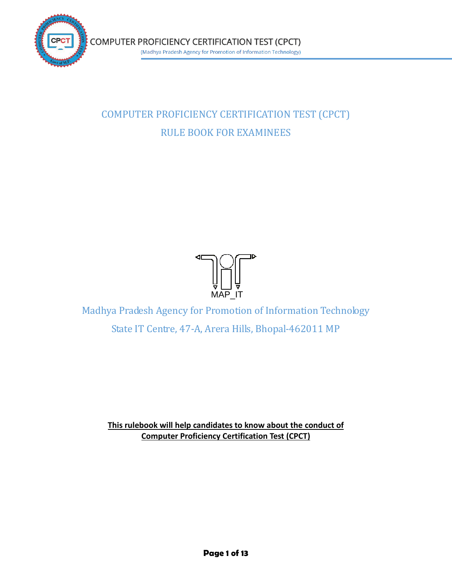

# COMPUTER PROFICIENCY CERTIFICATION TEST (CPCT) RULE BOOK FOR EXAMINEES



Madhya Pradesh Agency for Promotion of Information Technology State IT Centre, 47-A, Arera Hills, Bhopal-462011 MP

**This rulebook will help candidates to know about the conduct of Computer Proficiency Certification Test (CPCT)**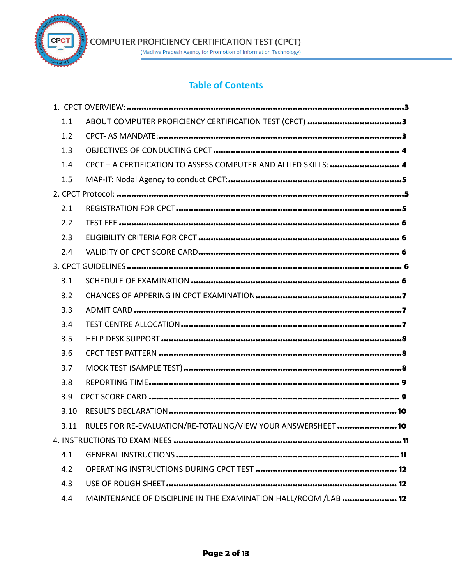

(Madhya Pradesh Agency for Promotion of Information Technology)

# **Table of Contents**

| 1.1  |                                                                 |
|------|-----------------------------------------------------------------|
| 1.2  |                                                                 |
| 1.3  |                                                                 |
| 1.4  | CPCT - A CERTIFICATION TO ASSESS COMPUTER AND ALLIED SKILLS:  4 |
| 1.5  |                                                                 |
|      |                                                                 |
| 2.1  |                                                                 |
| 2.2  |                                                                 |
| 2.3  |                                                                 |
| 2.4  |                                                                 |
|      |                                                                 |
| 3.1  |                                                                 |
| 3.2  |                                                                 |
| 3.3  |                                                                 |
| 3.4  |                                                                 |
| 3.5  |                                                                 |
| 3.6  |                                                                 |
| 3.7  |                                                                 |
| 3.8  |                                                                 |
| 3.9  |                                                                 |
| 3.10 |                                                                 |
| 3.11 | RULES FOR RE-EVALUATION/RE-TOTALING/VIEW YOUR ANSWERSHEET  10   |
|      |                                                                 |
| 4.1  |                                                                 |
| 4.2  |                                                                 |
| 4.3  |                                                                 |
| 4.4  | MAINTENANCE OF DISCIPLINE IN THE EXAMINATION HALL/ROOM /LAB  12 |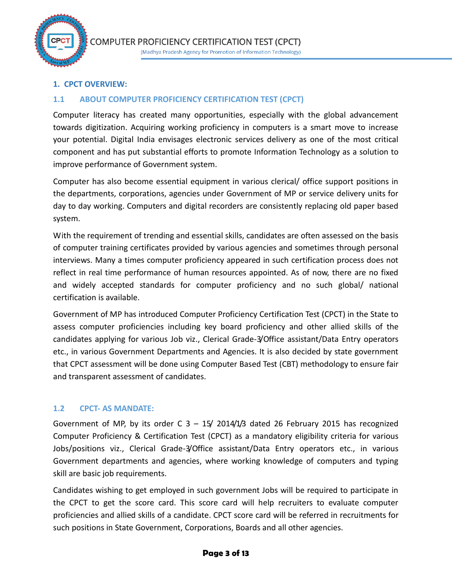

# **1. CPCT OVERVIEW:**

# **1.1 ABOUT COMPUTER PROFICIENCY CERTIFICATION TEST (CPCT)**

Computer literacy has created many opportunities, especially with the global advancement towards digitization. Acquiring working proficiency in computers is a smart move to increase your potential. Digital India envisages electronic services delivery as one of the most critical component and has put substantial efforts to promote Information Technology as a solution to improve performance of Government system.

Computer has also become essential equipment in various clerical/ office support positions in the departments, corporations, agencies under Government of MP or service delivery units for day to day working. Computers and digital recorders are consistently replacing old paper based system.

With the requirement of trending and essential skills, candidates are often assessed on the basis of computer training certificates provided by various agencies and sometimes through personal interviews. Many a times computer proficiency appeared in such certification process does not reflect in real time performance of human resources appointed. As of now, there are no fixed and widely accepted standards for computer proficiency and no such global/ national certification is available.

Government of MP has introduced Computer Proficiency Certification Test (CPCT) in the State to assess computer proficiencies including key board proficiency and other allied skills of the candidates applying for various Job viz., Clerical Grade-3/Office assistant/Data Entry operators etc., in various Government Departments and Agencies. It is also decided by state government that CPCT assessment will be done using Computer Based Test (CBT) methodology to ensure fair and transparent assessment of candidates.

#### **1.2 CPCT- AS MANDATE:**

Government of MP, by its order C  $3 - 15/2014/1/3$  dated 26 February 2015 has recognized Computer Proficiency & Certification Test (CPCT) as a mandatory eligibility criteria for various Jobs/positions viz., Clerical Grade-3/Office assistant/Data Entry operators etc., in various Government departments and agencies, where working knowledge of computers and typing skill are basic job requirements.

Candidates wishing to get employed in such government Jobs will be required to participate in the CPCT to get the score card. This score card will help recruiters to evaluate computer proficiencies and allied skills of a candidate. CPCT score card will be referred in recruitments for such positions in State Government, Corporations, Boards and all other agencies.

#### **Page 3 of 13**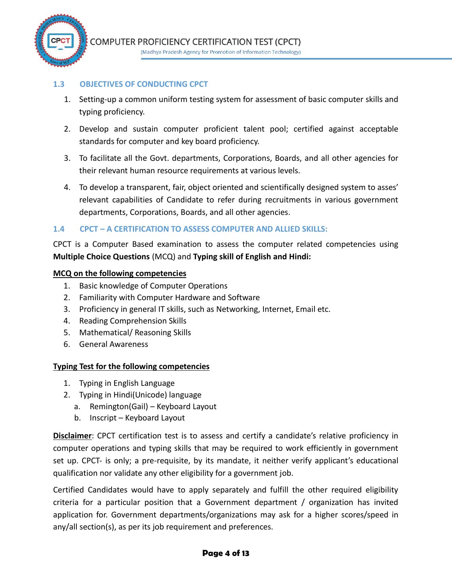

#### **1.3 OBJECTIVES OF CONDUCTING CPCT**

- 1. Setting-up a common uniform testing system for assessment of basic computer skills and typing proficiency.
- 2. Develop and sustain computer proficient talent pool; certified against acceptable standards for computer and key board proficiency.
- 3. To facilitate all the Govt. departments, Corporations, Boards, and all other agencies for their relevant human resource requirements at various levels.
- 4. To develop a transparent, fair, object oriented and scientifically designed system to asses' relevant capabilities of Candidate to refer during recruitments in various government departments, Corporations, Boards, and all other agencies.

# **1.4 CPCT – A CERTIFICATION TO ASSESS COMPUTER AND ALLIED SKILLS:**

CPCT is a Computer Based examination to assess the computer related competencies using **Multiple Choice Questions** (MCQ) and **Typing skill of English and Hindi:**

#### **MCQ on the following competencies**

- 1. Basic knowledge of Computer Operations
- 2. Familiarity with Computer Hardware and Software
- 3. Proficiency in general IT skills, such as Networking, Internet, Email etc.
- 4. Reading Comprehension Skills
- 5. Mathematical/ Reasoning Skills
- 6. General Awareness

#### **Typing Test for the following competencies**

- 1. Typing in English Language
- 2. Typing in Hindi(Unicode) language
	- a. Remington(Gail) Keyboard Layout
	- b. Inscript Keyboard Layout

**Disclaimer**: CPCT certification test is to assess and certify a candidate's relative proficiency in computer operations and typing skills that may be required to work efficiently in government set up. CPCT- is only; a pre-requisite, by its mandate, it neither verify applicant's educational qualification nor validate any other eligibility for a government job.

Certified Candidates would have to apply separately and fulfill the other required eligibility criteria for a particular position that a Government department / organization has invited application for. Government departments/organizations may ask for a higher scores/speed in any/all section(s), as per its job requirement and preferences.

#### **Page 4 of 13**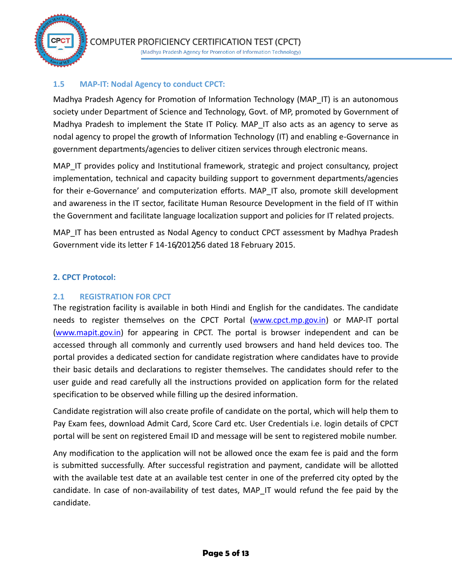

# **1.5 MAP-IT: Nodal Agency to conduct CPCT:**

Madhya Pradesh Agency for Promotion of Information Technology (MAP\_IT) is an autonomous society under Department of Science and Technology, Govt. of MP, promoted by Government of Madhya Pradesh to implement the State IT Policy. MAP\_IT also acts as an agency to serve as nodal agency to propel the growth of Information Technology (IT) and enabling e-Governance in government departments/agencies to deliver citizen services through electronic means.

MAP IT provides policy and Institutional framework, strategic and project consultancy, project implementation, technical and capacity building support to government departments/agencies for their e-Governance' and computerization efforts. MAP\_IT also, promote skill development and awareness in the IT sector, facilitate Human Resource Development in the field of IT within the Government and facilitate language localization support and policies for IT related projects.

MAP IT has been entrusted as Nodal Agency to conduct CPCT assessment by Madhya Pradesh Government vide its letter F 14-16/2012/56 dated 18 February 2015.

#### **2. CPCT Protocol:**

#### **2.1 REGISTRATION FOR CPCT**

The registration facility is available in both Hindi and English for the candidates. The candidate needs to register themselves on the CPCT Portal [\(www.cpct.mp.gov.in\)](http://www.cpct.mp.gov.in/) or MAP-IT portal [\(www.mapit.gov.in\)](http://www.mapit.gov.in/) for appearing in CPCT. The portal is browser independent and can be accessed through all commonly and currently used browsers and hand held devices too. The portal provides a dedicated section for candidate registration where candidates have to provide their basic details and declarations to register themselves. The candidates should refer to the user guide and read carefully all the instructions provided on application form for the related specification to be observed while filling up the desired information.

Candidate registration will also create profile of candidate on the portal, which will help them to Pay Exam fees, download Admit Card, Score Card etc. User Credentials i.e. login details of CPCT portal will be sent on registered Email ID and message will be sent to registered mobile number.

Any modification to the application will not be allowed once the exam fee is paid and the form is submitted successfully. After successful registration and payment, candidate will be allotted with the available test date at an available test center in one of the preferred city opted by the candidate. In case of non-availability of test dates, MAP\_IT would refund the fee paid by the candidate.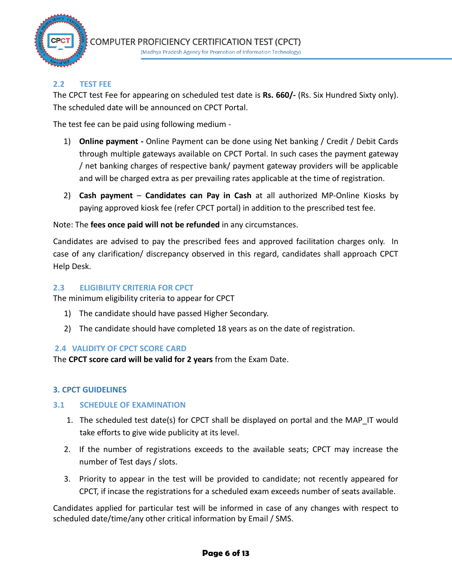

# **2.2 TEST FEE**

The CPCT test Fee for appearing on scheduled test date is **Rs. 660/-** (Rs. Six Hundred Sixty only). The scheduled date will be announced on CPCT Portal.

The test fee can be paid using following medium -

- 1) **Online payment -** Online Payment can be done using Net banking / Credit / Debit Cards through multiple gateways available on CPCT Portal. In such cases the payment gateway / net banking charges of respective bank/ payment gateway providers will be applicable and will be charged extra as per prevailing rates applicable at the time of registration.
- 2) **Cash payment Candidates can Pay in Cash** at all authorized MP-Online Kiosks by paying approved kiosk fee (refer CPCT portal) in addition to the prescribed test fee.

#### Note: The **fees once paid will not be refunded** in any circumstances.

Candidates are advised to pay the prescribed fees and approved facilitation charges only. In case of any clarification/ discrepancy observed in this regard, candidates shall approach CPCT Help Desk.

# **2.3 ELIGIBILITY CRITERIA FOR CPCT**

The minimum eligibility criteria to appear for CPCT

- 1) The candidate should have passed Higher Secondary.
- 2) The candidate should have completed 18 years as on the date of registration.

#### **2.4 VALIDITY OF CPCT SCORE CARD**

The **CPCT score card will be valid for 2 years** from the Exam Date.

#### **3. CPCT GUIDELINES**

#### **3.1 SCHEDULE OF EXAMINATION**

- 1. The scheduled test date(s) for CPCT shall be displayed on portal and the MAP\_IT would take efforts to give wide publicity at its level.
- 2. If the number of registrations exceeds to the available seats; CPCT may increase the number of Test days / slots.
- 3. Priority to appear in the test will be provided to candidate; not recently appeared for CPCT, if incase the registrations for a scheduled exam exceeds number of seats available.

Candidates applied for particular test will be informed in case of any changes with respect to scheduled date/time/any other critical information by Email / SMS.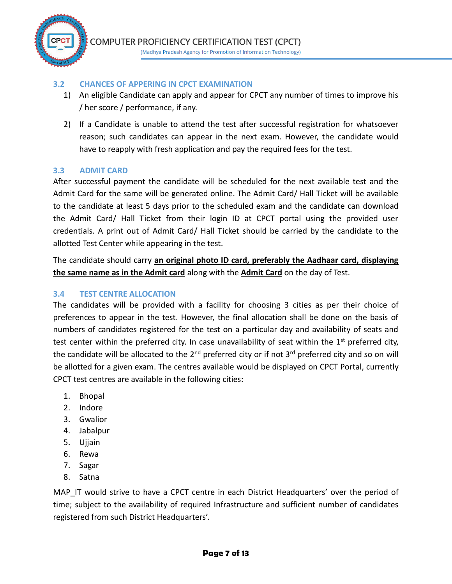

#### **3.2 CHANCES OF APPERING IN CPCT EXAMINATION**

- 1) An eligible Candidate can apply and appear for CPCT any number of times to improve his / her score / performance, if any.
- 2) If a Candidate is unable to attend the test after successful registration for whatsoever reason; such candidates can appear in the next exam. However, the candidate would have to reapply with fresh application and pay the required fees for the test.

#### **3.3 ADMIT CARD**

After successful payment the candidate will be scheduled for the next available test and the Admit Card for the same will be generated online. The Admit Card/ Hall Ticket will be available to the candidate at least 5 days prior to the scheduled exam and the candidate can download the Admit Card/ Hall Ticket from their login ID at CPCT portal using the provided user credentials. A print out of Admit Card/ Hall Ticket should be carried by the candidate to the allotted Test Center while appearing in the test.

The candidate should carry **an original photo ID card, preferably the Aadhaar card, displaying the same name as in the Admit card** along with the **Admit Card** on the day of Test.

#### **3.4 TEST CENTRE ALLOCATION**

The candidates will be provided with a facility for choosing 3 cities as per their choice of preferences to appear in the test. However, the final allocation shall be done on the basis of numbers of candidates registered for the test on a particular day and availability of seats and test center within the preferred city. In case unavailability of seat within the  $1<sup>st</sup>$  preferred city, the candidate will be allocated to the  $2^{nd}$  preferred city or if not  $3^{rd}$  preferred city and so on will be allotted for a given exam. The centres available would be displayed on CPCT Portal, currently CPCT test centres are available in the following cities:

- 1. Bhopal
- 2. Indore
- 3. Gwalior
- 4. Jabalpur
- 5. Ujjain
- 6. Rewa
- 7. Sagar
- 8. Satna

MAP IT would strive to have a CPCT centre in each District Headquarters' over the period of time; subject to the availability of required Infrastructure and sufficient number of candidates registered from such District Headquarters'.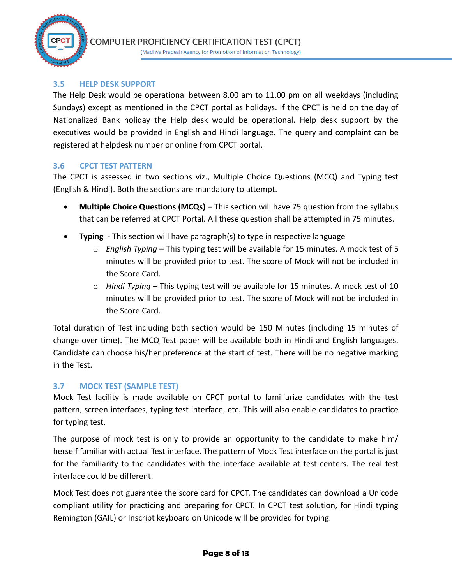

# **3.5 HELP DESK SUPPORT**

The Help Desk would be operational between 8.00 am to 11.00 pm on all weekdays (including Sundays) except as mentioned in the CPCT portal as holidays. If the CPCT is held on the day of Nationalized Bank holiday the Help desk would be operational. Help desk support by the executives would be provided in English and Hindi language. The query and complaint can be registered at helpdesk number or online from CPCT portal.

#### **3.6 CPCT TEST PATTERN**

The CPCT is assessed in two sections viz., Multiple Choice Questions (MCQ) and Typing test (English & Hindi). Both the sections are mandatory to attempt.

- **Multiple Choice Questions (MCQs)** This section will have 75 question from the syllabus that can be referred at CPCT Portal. All these question shall be attempted in 75 minutes.
- **Typing**  This section will have paragraph(s) to type in respective language
	- o *English Typing* This typing test will be available for 15 minutes. A mock test of 5 minutes will be provided prior to test. The score of Mock will not be included in the Score Card.
	- o *Hindi Typing* This typing test will be available for 15 minutes. A mock test of 10 minutes will be provided prior to test. The score of Mock will not be included in the Score Card.

Total duration of Test including both section would be 150 Minutes (including 15 minutes of change over time). The MCQ Test paper will be available both in Hindi and English languages. Candidate can choose his/her preference at the start of test. There will be no negative marking in the Test.

# **3.7 MOCK TEST (SAMPLE TEST)**

Mock Test facility is made available on CPCT portal to familiarize candidates with the test pattern, screen interfaces, typing test interface, etc. This will also enable candidates to practice for typing test.

The purpose of mock test is only to provide an opportunity to the candidate to make him/ herself familiar with actual Test interface. The pattern of Mock Test interface on the portal is just for the familiarity to the candidates with the interface available at test centers. The real test interface could be different.

Mock Test does not guarantee the score card for CPCT. The candidates can download a Unicode compliant utility for practicing and preparing for CPCT. In CPCT test solution, for Hindi typing Remington (GAIL) or Inscript keyboard on Unicode will be provided for typing.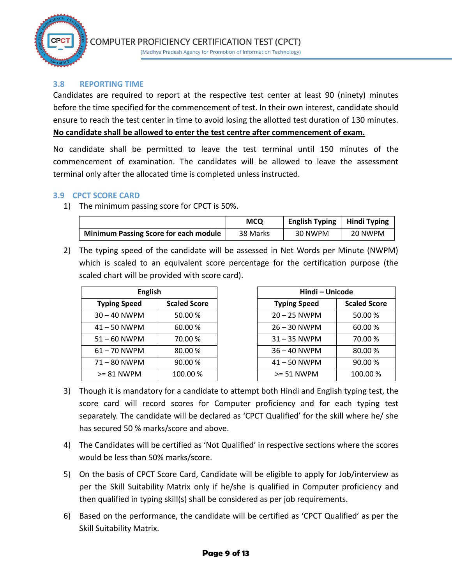

# **3.8 REPORTING TIME**

Candidates are required to report at the respective test center at least 90 (ninety) minutes before the time specified for the commencement of test. In their own interest, candidate should ensure to reach the test center in time to avoid losing the allotted test duration of 130 minutes. **No candidate shall be allowed to enter the test centre after commencement of exam.**

No candidate shall be permitted to leave the test terminal until 150 minutes of the commencement of examination. The candidates will be allowed to leave the assessment terminal only after the allocated time is completed unless instructed.

#### **3.9 CPCT SCORE CARD**

1) The minimum passing score for CPCT is 50%.

|                                              | <b>MCQ</b> | <b>English Typing</b> | <b>Hindi Typing</b> |
|----------------------------------------------|------------|-----------------------|---------------------|
| <b>Minimum Passing Score for each module</b> | 38 Marks   | 30 NWPM               | 20 NWPM             |

2) The typing speed of the candidate will be assessed in Net Words per Minute (NWPM) which is scaled to an equivalent score percentage for the certification purpose (the scaled chart will be provided with score card).

| <b>English</b>      |                     |  |  |  |
|---------------------|---------------------|--|--|--|
| <b>Typing Speed</b> | <b>Scaled Score</b> |  |  |  |
| $30 - 40$ NWPM      | 50.00 %             |  |  |  |
| $41 - 50$ NWPM      | 60.00%              |  |  |  |
| $51 - 60$ NWPM      | 70.00 %             |  |  |  |
| 61-70 NWPM          | 80.00%              |  |  |  |
| 71 - 80 NWPM        | 90.00 %             |  |  |  |
| $>= 81$ NWPM        | 100.00 %            |  |  |  |

| <b>English</b>                             |         | Hindi - Unicode     |                     |  |
|--------------------------------------------|---------|---------------------|---------------------|--|
| <b>Scaled Score</b><br><b>Typing Speed</b> |         | <b>Typing Speed</b> | <b>Scaled Score</b> |  |
| 30 - 40 NWPM                               | 50.00 % | $20 - 25$ NWPM      | 50.00%              |  |
| 41 – 50 NWPM                               | 60.00 % | $26 - 30$ NWPM      | 60.00%              |  |
| 51-60 NWPM                                 | 70.00 % | $31 - 35$ NWPM      | 70.00%              |  |
| 61-70 NWPM                                 | 80.00 % | $36 - 40$ NWPM      | 80.00 %             |  |
| 71-80 NWPM                                 | 90.00 % | 41-50 NWPM          | 90.00%              |  |
| $>= 81$ NWPM                               | 100.00% | $>= 51$ NWPM        | 100.00%             |  |

- 3) Though it is mandatory for a candidate to attempt both Hindi and English typing test, the score card will record scores for Computer proficiency and for each typing test separately. The candidate will be declared as 'CPCT Qualified' for the skill where he/ she has secured 50 % marks/score and above.
- 4) The Candidates will be certified as 'Not Qualified' in respective sections where the scores would be less than 50% marks/score.
- 5) On the basis of CPCT Score Card, Candidate will be eligible to apply for Job/interview as per the Skill Suitability Matrix only if he/she is qualified in Computer proficiency and then qualified in typing skill(s) shall be considered as per job requirements.
- 6) Based on the performance, the candidate will be certified as 'CPCT Qualified' as per the Skill Suitability Matrix.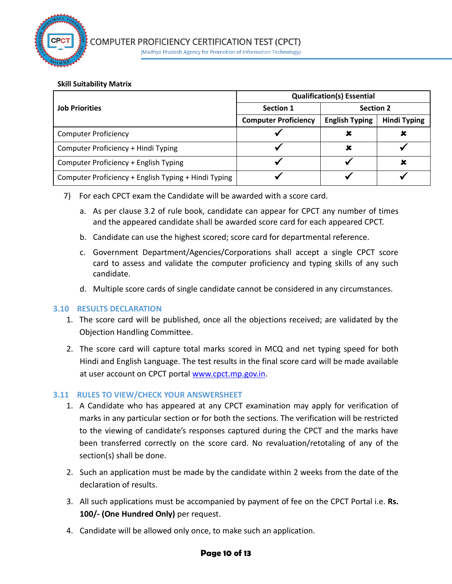

(Madhya Pradesh Agency for Promotion of Information Technology)

#### **Skill Suitability Matrix**

|                                                      | <b>Qualification(s) Essential</b> |                       |                     |  |
|------------------------------------------------------|-----------------------------------|-----------------------|---------------------|--|
| <b>Job Priorities</b>                                | Section 1                         | <b>Section 2</b>      |                     |  |
|                                                      | <b>Computer Proficiency</b>       | <b>English Typing</b> | <b>Hindi Typing</b> |  |
| <b>Computer Proficiency</b>                          |                                   |                       |                     |  |
| Computer Proficiency + Hindi Typing                  |                                   | ×                     |                     |  |
| Computer Proficiency + English Typing                |                                   |                       |                     |  |
| Computer Proficiency + English Typing + Hindi Typing |                                   |                       |                     |  |

- 7) For each CPCT exam the Candidate will be awarded with a score card.
	- a. As per clause 3.2 of rule book, candidate can appear for CPCT any number of times and the appeared candidate shall be awarded score card for each appeared CPCT.
	- b. Candidate can use the highest scored; score card for departmental reference.
	- c. Government Department/Agencies/Corporations shall accept a single CPCT score card to assess and validate the computer proficiency and typing skills of any such candidate.
	- d. Multiple score cards of single candidate cannot be considered in any circumstances.

#### **3.10 RESULTS DECLARATION**

- 1. The score card will be published, once all the objections received; are validated by the Objection Handling Committee.
- 2. The score card will capture total marks scored in MCQ and net typing speed for both Hindi and English Language. The test results in the final score card will be made available at user account on CPCT portal [www.cpct.mp.gov.in.](http://www.cpct.mp.gov.in/)

#### **3.11 RULES TO VIEW/CHECK YOUR ANSWERSHEET**

- 1. A Candidate who has appeared at any CPCT examination may apply for verification of marks in any particular section or for both the sections. The verification will be restricted to the viewing of candidate's responses captured during the CPCT and the marks have been transferred correctly on the score card. No revaluation/retotaling of any of the section(s) shall be done.
- 2. Such an application must be made by the candidate within 2 weeks from the date of the declaration of results.
- 3. All such applications must be accompanied by payment of fee on the CPCT Portal i.e. **Rs. 100/- (One Hundred Only)** per request.
- 4. Candidate will be allowed only once, to make such an application.

#### **Page 10 of 13**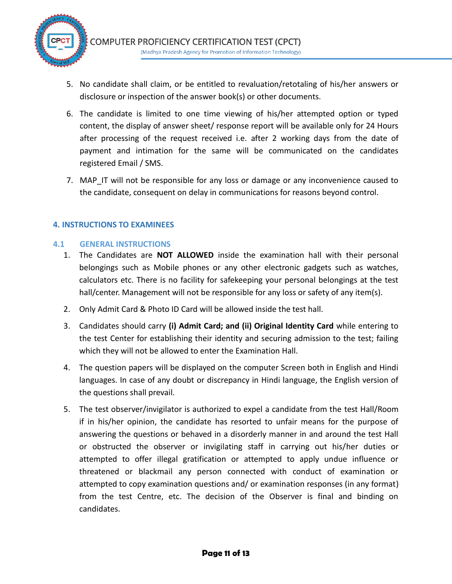

- 5. No candidate shall claim, or be entitled to revaluation/retotaling of his/her answers or disclosure or inspection of the answer book(s) or other documents.
- 6. The candidate is limited to one time viewing of his/her attempted option or typed content, the display of answer sheet/ response report will be available only for 24 Hours after processing of the request received i.e. after 2 working days from the date of payment and intimation for the same will be communicated on the candidates registered Email / SMS.
- 7. MAP IT will not be responsible for any loss or damage or any inconvenience caused to the candidate, consequent on delay in communications for reasons beyond control.

#### **4. INSTRUCTIONS TO EXAMINEES**

#### **4.1 GENERAL INSTRUCTIONS**

- 1. The Candidates are **NOT ALLOWED** inside the examination hall with their personal belongings such as Mobile phones or any other electronic gadgets such as watches, calculators etc. There is no facility for safekeeping your personal belongings at the test hall/center. Management will not be responsible for any loss or safety of any item(s).
- 2. Only Admit Card & Photo ID Card will be allowed inside the test hall.
- 3. Candidates should carry **(i) Admit Card; and (ii) Original Identity Card** while entering to the test Center for establishing their identity and securing admission to the test; failing which they will not be allowed to enter the Examination Hall.
- 4. The question papers will be displayed on the computer Screen both in English and Hindi languages. In case of any doubt or discrepancy in Hindi language, the English version of the questions shall prevail.
- 5. The test observer/invigilator is authorized to expel a candidate from the test Hall/Room if in his/her opinion, the candidate has resorted to unfair means for the purpose of answering the questions or behaved in a disorderly manner in and around the test Hall or obstructed the observer or invigilating staff in carrying out his/her duties or attempted to offer illegal gratification or attempted to apply undue influence or threatened or blackmail any person connected with conduct of examination or attempted to copy examination questions and/ or examination responses (in any format) from the test Centre, etc. The decision of the Observer is final and binding on candidates.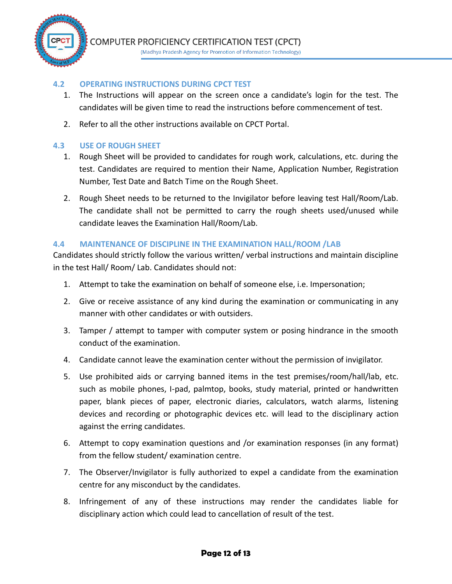

#### **4.2 OPERATING INSTRUCTIONS DURING CPCT TEST**

- 1. The Instructions will appear on the screen once a candidate's login for the test. The candidates will be given time to read the instructions before commencement of test.
- 2. Refer to all the other instructions available on CPCT Portal.

#### **4.3 USE OF ROUGH SHEET**

- 1. Rough Sheet will be provided to candidates for rough work, calculations, etc. during the test. Candidates are required to mention their Name, Application Number, Registration Number, Test Date and Batch Time on the Rough Sheet.
- 2. Rough Sheet needs to be returned to the Invigilator before leaving test Hall/Room/Lab. The candidate shall not be permitted to carry the rough sheets used/unused while candidate leaves the Examination Hall/Room/Lab.

#### **4.4 MAINTENANCE OF DISCIPLINE IN THE EXAMINATION HALL/ROOM /LAB**

Candidates should strictly follow the various written/ verbal instructions and maintain discipline in the test Hall/ Room/ Lab. Candidates should not:

- 1. Attempt to take the examination on behalf of someone else, i.e. Impersonation;
- 2. Give or receive assistance of any kind during the examination or communicating in any manner with other candidates or with outsiders.
- 3. Tamper / attempt to tamper with computer system or posing hindrance in the smooth conduct of the examination.
- 4. Candidate cannot leave the examination center without the permission of invigilator.
- 5. Use prohibited aids or carrying banned items in the test premises/room/hall/lab, etc. such as mobile phones, I-pad, palmtop, books, study material, printed or handwritten paper, blank pieces of paper, electronic diaries, calculators, watch alarms, listening devices and recording or photographic devices etc. will lead to the disciplinary action against the erring candidates.
- 6. Attempt to copy examination questions and /or examination responses (in any format) from the fellow student/ examination centre.
- 7. The Observer/Invigilator is fully authorized to expel a candidate from the examination centre for any misconduct by the candidates.
- 8. Infringement of any of these instructions may render the candidates liable for disciplinary action which could lead to cancellation of result of the test.